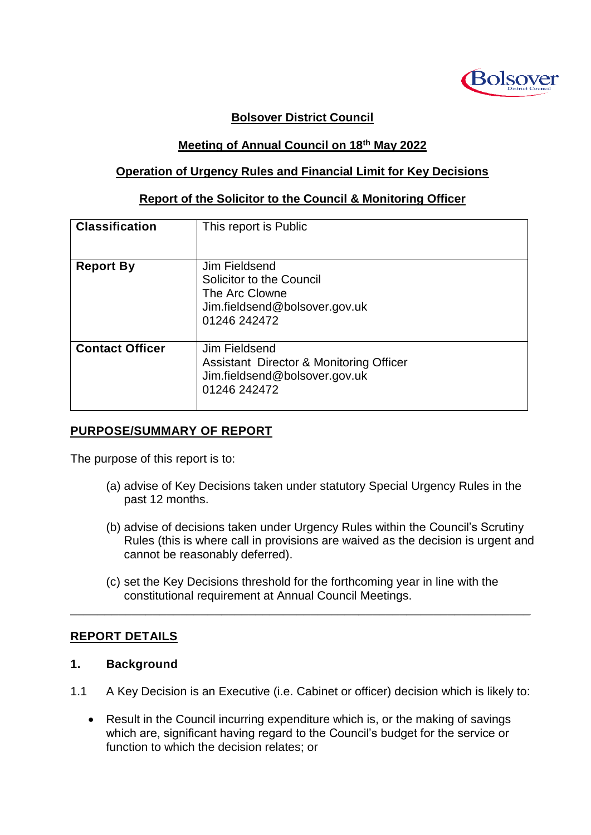

# **Bolsover District Council**

## **Meeting of Annual Council on 18th May 2022**

## **Operation of Urgency Rules and Financial Limit for Key Decisions**

#### **Report of the Solicitor to the Council & Monitoring Officer**

| <b>Classification</b>  | This report is Public                                                                                        |
|------------------------|--------------------------------------------------------------------------------------------------------------|
| <b>Report By</b>       | Jim Fieldsend<br>Solicitor to the Council<br>The Arc Clowne<br>Jim.fieldsend@bolsover.gov.uk<br>01246 242472 |
| <b>Contact Officer</b> | Jim Fieldsend<br>Assistant Director & Monitoring Officer<br>Jim.fieldsend@bolsover.gov.uk<br>01246 242472    |

#### **PURPOSE/SUMMARY OF REPORT**

The purpose of this report is to:

- (a) advise of Key Decisions taken under statutory Special Urgency Rules in the past 12 months.
- (b) advise of decisions taken under Urgency Rules within the Council's Scrutiny Rules (this is where call in provisions are waived as the decision is urgent and cannot be reasonably deferred).
- (c) set the Key Decisions threshold for the forthcoming year in line with the constitutional requirement at Annual Council Meetings.

\_\_\_\_\_\_\_\_\_\_\_\_\_\_\_\_\_\_\_\_\_\_\_\_\_\_\_\_\_\_\_\_\_\_\_\_\_\_\_\_\_\_\_\_\_\_\_\_\_\_\_\_\_\_\_\_\_\_\_\_\_\_\_\_\_\_\_

#### **REPORT DETAILS**

#### **1. Background**

- 1.1 A Key Decision is an Executive (i.e. Cabinet or officer) decision which is likely to:
	- Result in the Council incurring expenditure which is, or the making of savings which are, significant having regard to the Council's budget for the service or function to which the decision relates; or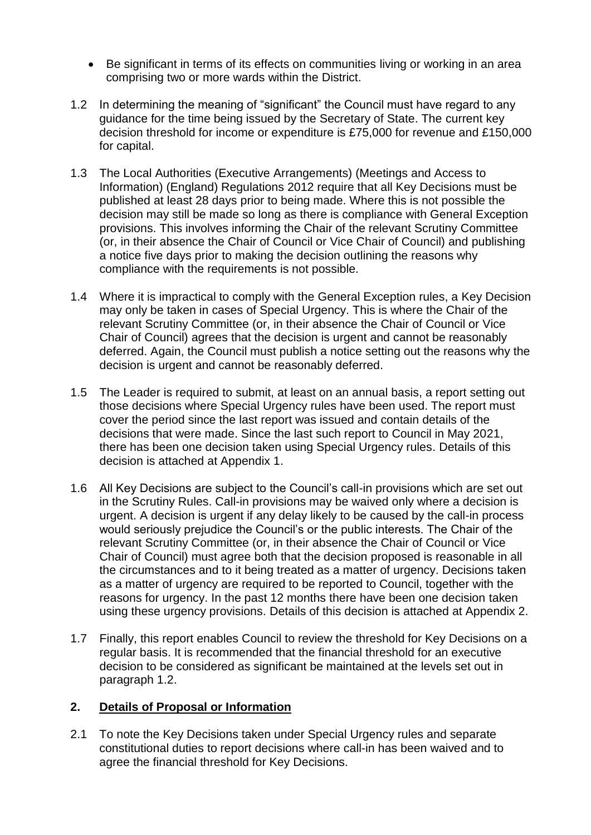- Be significant in terms of its effects on communities living or working in an area comprising two or more wards within the District.
- 1.2 In determining the meaning of "significant" the Council must have regard to any guidance for the time being issued by the Secretary of State. The current key decision threshold for income or expenditure is £75,000 for revenue and £150,000 for capital.
- 1.3 The Local Authorities (Executive Arrangements) (Meetings and Access to Information) (England) Regulations 2012 require that all Key Decisions must be published at least 28 days prior to being made. Where this is not possible the decision may still be made so long as there is compliance with General Exception provisions. This involves informing the Chair of the relevant Scrutiny Committee (or, in their absence the Chair of Council or Vice Chair of Council) and publishing a notice five days prior to making the decision outlining the reasons why compliance with the requirements is not possible.
- 1.4 Where it is impractical to comply with the General Exception rules, a Key Decision may only be taken in cases of Special Urgency. This is where the Chair of the relevant Scrutiny Committee (or, in their absence the Chair of Council or Vice Chair of Council) agrees that the decision is urgent and cannot be reasonably deferred. Again, the Council must publish a notice setting out the reasons why the decision is urgent and cannot be reasonably deferred.
- 1.5 The Leader is required to submit, at least on an annual basis, a report setting out those decisions where Special Urgency rules have been used. The report must cover the period since the last report was issued and contain details of the decisions that were made. Since the last such report to Council in May 2021, there has been one decision taken using Special Urgency rules. Details of this decision is attached at Appendix 1.
- 1.6 All Key Decisions are subject to the Council's call-in provisions which are set out in the Scrutiny Rules. Call-in provisions may be waived only where a decision is urgent. A decision is urgent if any delay likely to be caused by the call-in process would seriously prejudice the Council's or the public interests. The Chair of the relevant Scrutiny Committee (or, in their absence the Chair of Council or Vice Chair of Council) must agree both that the decision proposed is reasonable in all the circumstances and to it being treated as a matter of urgency. Decisions taken as a matter of urgency are required to be reported to Council, together with the reasons for urgency. In the past 12 months there have been one decision taken using these urgency provisions. Details of this decision is attached at Appendix 2.
- 1.7 Finally, this report enables Council to review the threshold for Key Decisions on a regular basis. It is recommended that the financial threshold for an executive decision to be considered as significant be maintained at the levels set out in paragraph 1.2.

#### **2. Details of Proposal or Information**

2.1 To note the Key Decisions taken under Special Urgency rules and separate constitutional duties to report decisions where call-in has been waived and to agree the financial threshold for Key Decisions.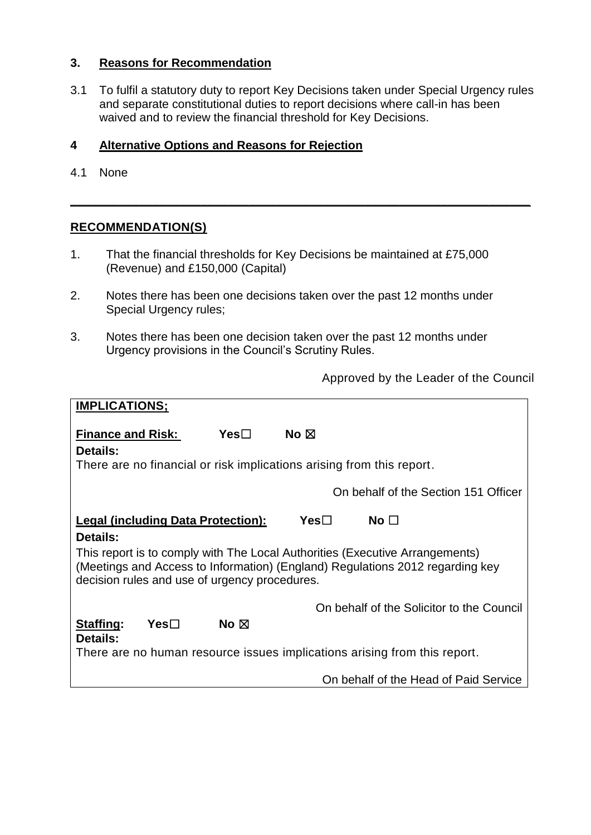## **3. Reasons for Recommendation**

3.1 To fulfil a statutory duty to report Key Decisions taken under Special Urgency rules and separate constitutional duties to report decisions where call-in has been waived and to review the financial threshold for Key Decisions.

**\_\_\_\_\_\_\_\_\_\_\_\_\_\_\_\_\_\_\_\_\_\_\_\_\_\_\_\_\_\_\_\_\_\_\_\_\_\_\_\_\_\_\_\_\_\_\_\_\_\_\_\_\_\_\_\_\_\_\_\_\_\_\_\_\_\_\_**

# **4 Alternative Options and Reasons for Rejection**

4.1 None

## **RECOMMENDATION(S)**

- 1. That the financial thresholds for Key Decisions be maintained at £75,000 (Revenue) and £150,000 (Capital)
- 2. Notes there has been one decisions taken over the past 12 months under Special Urgency rules;
- 3. Notes there has been one decision taken over the past 12 months under Urgency provisions in the Council's Scrutiny Rules.

Approved by the Leader of the Council

| <b>IMPLICATIONS;</b>                                                                                                                                                                                           |                |                |                                           |
|----------------------------------------------------------------------------------------------------------------------------------------------------------------------------------------------------------------|----------------|----------------|-------------------------------------------|
| <b>Finance and Risk:</b><br><b>Details:</b>                                                                                                                                                                    | Yes⊟           | No $\boxtimes$ |                                           |
| There are no financial or risk implications arising from this report.                                                                                                                                          |                |                |                                           |
|                                                                                                                                                                                                                |                |                | On behalf of the Section 151 Officer      |
| <b>Legal (including Data Protection):</b>                                                                                                                                                                      |                | Yes $\square$  | No $\Box$                                 |
| Details:                                                                                                                                                                                                       |                |                |                                           |
| This report is to comply with The Local Authorities (Executive Arrangements)<br>(Meetings and Access to Information) (England) Regulations 2012 regarding key<br>decision rules and use of urgency procedures. |                |                |                                           |
|                                                                                                                                                                                                                |                |                | On behalf of the Solicitor to the Council |
| Staffing:<br>$Yes\square$<br>Details:                                                                                                                                                                          | No $\boxtimes$ |                |                                           |
| There are no human resource issues implications arising from this report.                                                                                                                                      |                |                |                                           |
|                                                                                                                                                                                                                |                |                | On behalf of the Head of Paid Service     |